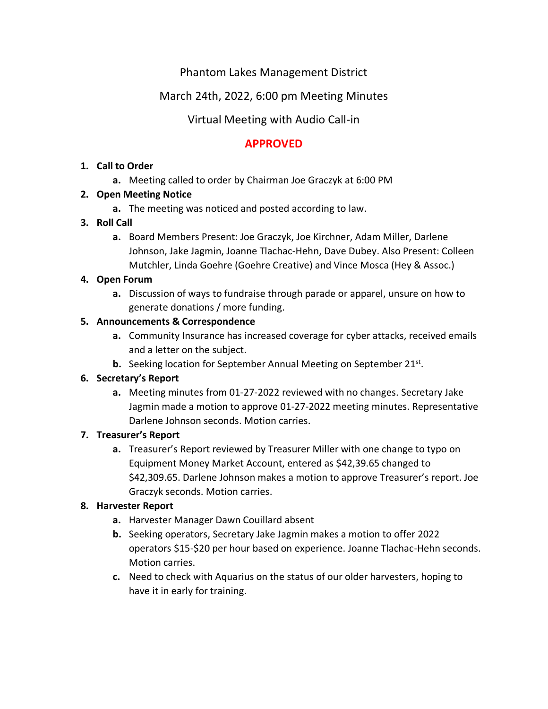# Phantom Lakes Management District

# March 24th, 2022, 6:00 pm Meeting Minutes

# Virtual Meeting with Audio Call-in

# **APPROVED**

#### **1. Call to Order**

**a.** Meeting called to order by Chairman Joe Graczyk at 6:00 PM

## **2. Open Meeting Notice**

**a.** The meeting was noticed and posted according to law.

## **3. Roll Call**

**a.** Board Members Present: Joe Graczyk, Joe Kirchner, Adam Miller, Darlene Johnson, Jake Jagmin, Joanne Tlachac-Hehn, Dave Dubey. Also Present: Colleen Mutchler, Linda Goehre (Goehre Creative) and Vince Mosca (Hey & Assoc.)

## **4. Open Forum**

**a.** Discussion of ways to fundraise through parade or apparel, unsure on how to generate donations / more funding.

## **5. Announcements & Correspondence**

- **a.** Community Insurance has increased coverage for cyber attacks, received emails and a letter on the subject.
- **b.** Seeking location for September Annual Meeting on September 21st.

## **6. Secretary's Report**

**a.** Meeting minutes from 01-27-2022 reviewed with no changes. Secretary Jake Jagmin made a motion to approve 01-27-2022 meeting minutes. Representative Darlene Johnson seconds. Motion carries.

#### **7. Treasurer's Report**

**a.** Treasurer's Report reviewed by Treasurer Miller with one change to typo on Equipment Money Market Account, entered as \$42,39.65 changed to \$42,309.65. Darlene Johnson makes a motion to approve Treasurer's report. Joe Graczyk seconds. Motion carries.

## **8. Harvester Report**

- **a.** Harvester Manager Dawn Couillard absent
- **b.** Seeking operators, Secretary Jake Jagmin makes a motion to offer 2022 operators \$15-\$20 per hour based on experience. Joanne Tlachac-Hehn seconds. Motion carries.
- **c.** Need to check with Aquarius on the status of our older harvesters, hoping to have it in early for training.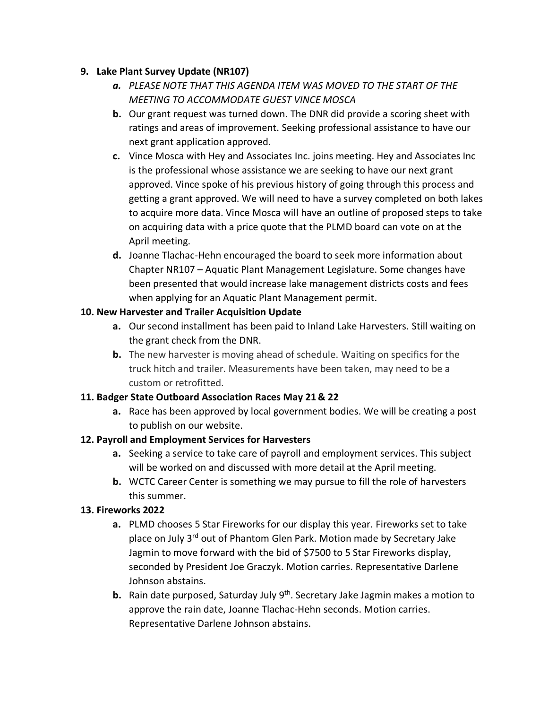#### **9. Lake Plant Survey Update (NR107)**

- *a. PLEASE NOTE THAT THIS AGENDA ITEM WAS MOVED TO THE START OF THE MEETING TO ACCOMMODATE GUEST VINCE MOSCA*
- **b.** Our grant request was turned down. The DNR did provide a scoring sheet with ratings and areas of improvement. Seeking professional assistance to have our next grant application approved.
- **c.** Vince Mosca with Hey and Associates Inc. joins meeting. Hey and Associates Inc is the professional whose assistance we are seeking to have our next grant approved. Vince spoke of his previous history of going through this process and getting a grant approved. We will need to have a survey completed on both lakes to acquire more data. Vince Mosca will have an outline of proposed steps to take on acquiring data with a price quote that the PLMD board can vote on at the April meeting.
- **d.** Joanne Tlachac-Hehn encouraged the board to seek more information about Chapter NR107 – Aquatic Plant Management Legislature. Some changes have been presented that would increase lake management districts costs and fees when applying for an Aquatic Plant Management permit.

## **10. New Harvester and Trailer Acquisition Update**

- **a.** Our second installment has been paid to Inland Lake Harvesters. Still waiting on the grant check from the DNR.
- **b.** The new harvester is moving ahead of schedule. Waiting on specifics for the truck hitch and trailer. Measurements have been taken, may need to be a custom or retrofitted.

#### **11. Badger State Outboard Association Races May 21 & 22**

**a.** Race has been approved by local government bodies. We will be creating a post to publish on our website.

## **12. Payroll and Employment Services for Harvesters**

- **a.** Seeking a service to take care of payroll and employment services. This subject will be worked on and discussed with more detail at the April meeting.
- **b.** WCTC Career Center is something we may pursue to fill the role of harvesters this summer.

## **13. Fireworks 2022**

- **a.** PLMD chooses 5 Star Fireworks for our display this year. Fireworks set to take place on July 3rd out of Phantom Glen Park. Motion made by Secretary Jake Jagmin to move forward with the bid of \$7500 to 5 Star Fireworks display, seconded by President Joe Graczyk. Motion carries. Representative Darlene Johnson abstains.
- **b.** Rain date purposed, Saturday July 9<sup>th</sup>. Secretary Jake Jagmin makes a motion to approve the rain date, Joanne Tlachac-Hehn seconds. Motion carries. Representative Darlene Johnson abstains.